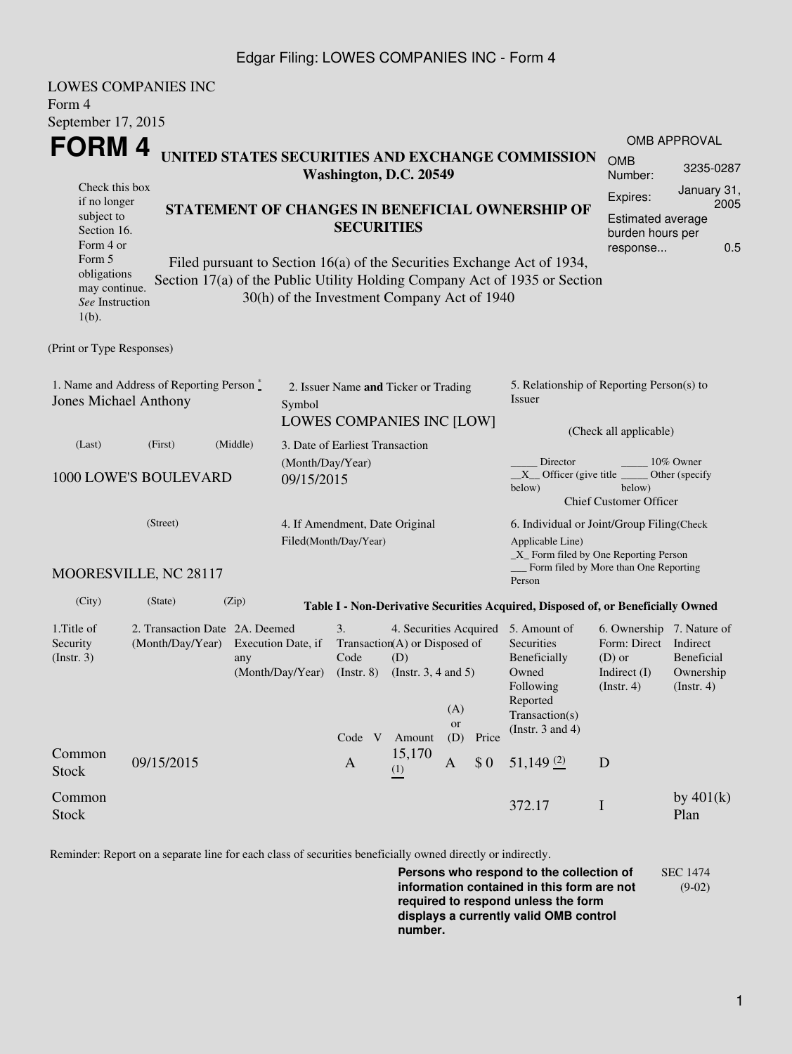## Edgar Filing: LOWES COMPANIES INC - Form 4

|                                                                                                                                                                                                                                                                                                                                                                                                                                                                                                           | <b>LOWES COMPANIES INC</b>                                                                                                      |          |                                 |                                                                          |                         |          |                                                                                                                       |                                                                                                                                                  |                                                    |                     |  |  |
|-----------------------------------------------------------------------------------------------------------------------------------------------------------------------------------------------------------------------------------------------------------------------------------------------------------------------------------------------------------------------------------------------------------------------------------------------------------------------------------------------------------|---------------------------------------------------------------------------------------------------------------------------------|----------|---------------------------------|--------------------------------------------------------------------------|-------------------------|----------|-----------------------------------------------------------------------------------------------------------------------|--------------------------------------------------------------------------------------------------------------------------------------------------|----------------------------------------------------|---------------------|--|--|
| Form 4                                                                                                                                                                                                                                                                                                                                                                                                                                                                                                    |                                                                                                                                 |          |                                 |                                                                          |                         |          |                                                                                                                       |                                                                                                                                                  |                                                    |                     |  |  |
| September 17, 2015<br>FORM 4<br>UNITED STATES SECURITIES AND EXCHANGE COMMISSION                                                                                                                                                                                                                                                                                                                                                                                                                          |                                                                                                                                 |          |                                 |                                                                          |                         |          |                                                                                                                       |                                                                                                                                                  |                                                    | <b>OMB APPROVAL</b> |  |  |
| Washington, D.C. 20549                                                                                                                                                                                                                                                                                                                                                                                                                                                                                    |                                                                                                                                 |          |                                 |                                                                          |                         |          |                                                                                                                       |                                                                                                                                                  | <b>OMB</b><br>Number:                              | 3235-0287           |  |  |
| Check this box<br>Expires:<br>if no longer<br>STATEMENT OF CHANGES IN BENEFICIAL OWNERSHIP OF<br>subject to<br><b>Estimated average</b><br><b>SECURITIES</b><br>Section 16.<br>burden hours per<br>Form 4 or<br>response<br>Form 5<br>Filed pursuant to Section 16(a) of the Securities Exchange Act of 1934,<br>obligations<br>Section 17(a) of the Public Utility Holding Company Act of 1935 or Section<br>may continue.<br>30(h) of the Investment Company Act of 1940<br>See Instruction<br>$1(b)$ . |                                                                                                                                 |          |                                 |                                                                          |                         |          |                                                                                                                       |                                                                                                                                                  | January 31,<br>2005<br>0.5                         |                     |  |  |
| (Print or Type Responses)                                                                                                                                                                                                                                                                                                                                                                                                                                                                                 |                                                                                                                                 |          |                                 |                                                                          |                         |          |                                                                                                                       |                                                                                                                                                  |                                                    |                     |  |  |
| 1. Name and Address of Reporting Person $\stackrel{*}{\mathbb{L}}$<br><b>Jones Michael Anthony</b><br>Symbol                                                                                                                                                                                                                                                                                                                                                                                              |                                                                                                                                 |          |                                 | 2. Issuer Name and Ticker or Trading<br><b>LOWES COMPANIES INC [LOW]</b> |                         |          |                                                                                                                       | 5. Relationship of Reporting Person(s) to<br>Issuer<br>(Check all applicable)                                                                    |                                                    |                     |  |  |
| (Last)                                                                                                                                                                                                                                                                                                                                                                                                                                                                                                    | (First)                                                                                                                         | (Middle) | 3. Date of Earliest Transaction |                                                                          |                         |          |                                                                                                                       |                                                                                                                                                  |                                                    |                     |  |  |
| (Month/Day/Year)<br>1000 LOWE'S BOULEVARD<br>09/15/2015                                                                                                                                                                                                                                                                                                                                                                                                                                                   |                                                                                                                                 |          |                                 |                                                                          |                         |          |                                                                                                                       | 10% Owner<br>Director<br>$X$ Officer (give title $\overline{\phantom{a}}$<br>Other (specify<br>below)<br>below)<br><b>Chief Customer Officer</b> |                                                    |                     |  |  |
| (Street)                                                                                                                                                                                                                                                                                                                                                                                                                                                                                                  |                                                                                                                                 |          |                                 | 4. If Amendment, Date Original<br>Filed(Month/Day/Year)                  |                         |          |                                                                                                                       | 6. Individual or Joint/Group Filing(Check<br>Applicable Line)<br>$\_X$ Form filed by One Reporting Person                                        |                                                    |                     |  |  |
|                                                                                                                                                                                                                                                                                                                                                                                                                                                                                                           | MOORESVILLE, NC 28117                                                                                                           |          |                                 |                                                                          |                         |          |                                                                                                                       | Person                                                                                                                                           | Form filed by More than One Reporting              |                     |  |  |
| (City)                                                                                                                                                                                                                                                                                                                                                                                                                                                                                                    | (State)                                                                                                                         | (Zip)    |                                 |                                                                          |                         |          |                                                                                                                       | Table I - Non-Derivative Securities Acquired, Disposed of, or Beneficially Owned                                                                 |                                                    |                     |  |  |
| 1. Title of<br>Security<br>(Insert. 3)                                                                                                                                                                                                                                                                                                                                                                                                                                                                    | 2. Transaction Date 2A. Deemed<br>(Month/Day/Year) Execution Date, if<br>any<br>(Month/Day/Year) (Instr. 8) (Instr. 3, 4 and 5) |          | 3.<br>Code                      | Transaction(A) or Disposed of<br>(D)                                     | (A)<br><b>or</b>        |          | 4. Securities Acquired 5. Amount of<br>Securities<br>Beneficially<br>Owned<br>Following<br>Reported<br>Transaction(s) | 6. Ownership 7. Nature of<br>Form: Direct Indirect<br>$(D)$ or<br>Indirect $(I)$<br>$($ Instr. 4 $)$                                             | <b>Beneficial</b><br>Ownership<br>$($ Instr. 4 $)$ |                     |  |  |
| Common<br><b>Stock</b>                                                                                                                                                                                                                                                                                                                                                                                                                                                                                    | 09/15/2015                                                                                                                      |          |                                 | Code V<br>$\mathbf{A}$                                                   | Amount<br>15,170<br>(1) | (D)<br>A | Price<br>\$0                                                                                                          | (Instr. $3$ and $4$ )<br>$51,149$ (2)                                                                                                            | D                                                  |                     |  |  |
| Common<br>Stock                                                                                                                                                                                                                                                                                                                                                                                                                                                                                           |                                                                                                                                 |          |                                 |                                                                          |                         |          |                                                                                                                       | 372.17                                                                                                                                           | $\bf{I}$                                           | by $401(k)$<br>Plan |  |  |

Reminder: Report on a separate line for each class of securities beneficially owned directly or indirectly.

**Persons who respond to the collection of information contained in this form are not required to respond unless the form displays a currently valid OMB control number.** SEC 1474 (9-02)